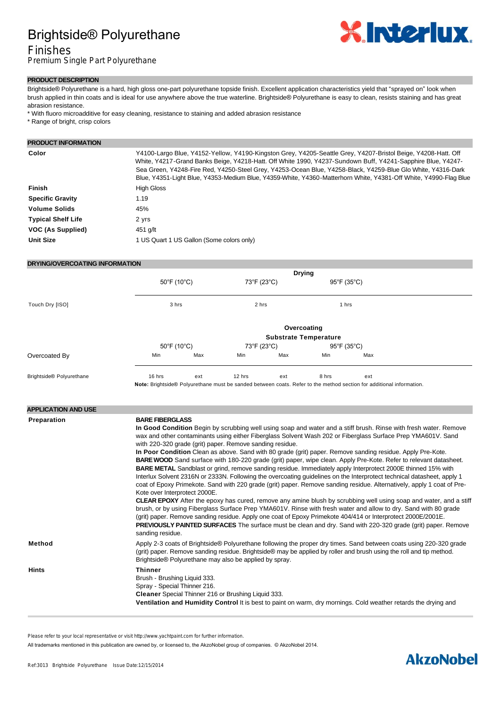## Brightside® Polyurethane

## Finishes

Premium Single Part Polyurethane



#### **PRODUCT DESCRIPTION**

Brightside® Polyurethane is a hard, high gloss one-part polyurethane topside finish. Excellent application characteristics yield that "sprayed on" look when brush applied in thin coats and is ideal for use anywhere above the true waterline. Brightside® Polyurethane is easy to clean, resists staining and has great abrasion resistance.

- \* With fluoro microadditive for easy cleaning, resistance to staining and added abrasion resistance
- \* Range of bright, crisp colors

#### **PRODUCT INFORMATION**

| Color                     | Y4100-Largo Blue, Y4152-Yellow, Y4190-Kingston Grey, Y4205-Seattle Grey, Y4207-Bristol Beige, Y4208-Hatt. Off<br>White, Y4217-Grand Banks Beige, Y4218-Hatt. Off White 1990, Y4237-Sundown Buff, Y4241-Sapphire Blue, Y4247-<br>Sea Green, Y4248-Fire Red, Y4250-Steel Grey, Y4253-Ocean Blue, Y4258-Black, Y4259-Blue Glo White, Y4316-Dark<br>Blue, Y4351-Light Blue, Y4353-Medium Blue, Y4359-White, Y4360-Matterhorn White, Y4381-Off White, Y4990-Flag Blue |
|---------------------------|------------------------------------------------------------------------------------------------------------------------------------------------------------------------------------------------------------------------------------------------------------------------------------------------------------------------------------------------------------------------------------------------------------------------------------------------------------------|
| Finish                    | <b>High Gloss</b>                                                                                                                                                                                                                                                                                                                                                                                                                                                |
| <b>Specific Gravity</b>   | 1.19                                                                                                                                                                                                                                                                                                                                                                                                                                                             |
| <b>Volume Solids</b>      | 45%                                                                                                                                                                                                                                                                                                                                                                                                                                                              |
| <b>Typical Shelf Life</b> | 2 yrs                                                                                                                                                                                                                                                                                                                                                                                                                                                            |
| VOC (As Supplied)         | 451 g/lt                                                                                                                                                                                                                                                                                                                                                                                                                                                         |
| <b>Unit Size</b>          | 1 US Quart 1 US Gallon (Some colors only)                                                                                                                                                                                                                                                                                                                                                                                                                        |

### **DRYING/OVERCOATING INFORMATION**

|                          | <b>Drying</b>                                   |     |                                                                                                                           |             |                                           |     |  |  |
|--------------------------|-------------------------------------------------|-----|---------------------------------------------------------------------------------------------------------------------------|-------------|-------------------------------------------|-----|--|--|
|                          | $50^{\circ}$ F (10 $^{\circ}$ C)<br>3 hrs       |     | 73°F (23°C)<br>2 hrs                                                                                                      |             | $95^{\circ}$ F (35 $^{\circ}$ C)<br>1 hrs |     |  |  |
| Touch Dry [ISO]          |                                                 |     |                                                                                                                           |             |                                           |     |  |  |
|                          | Overcoating                                     |     |                                                                                                                           |             |                                           |     |  |  |
|                          | <b>Substrate Temperature</b>                    |     |                                                                                                                           |             |                                           |     |  |  |
|                          | $50^{\circ}$ F (10 $^{\circ}$ C)<br>73°F (23°C) |     |                                                                                                                           | 95°F (35°C) |                                           |     |  |  |
| Overcoated By            | Min                                             | Max | Min                                                                                                                       | Max         | Min                                       | Max |  |  |
| Brightside® Polyurethane | 16 hrs<br>.                                     | ext | 12 hrs<br>the contract of the contract of the contract of the contract of the contract of the contract of the contract of | ext         | 8 hrs                                     | ext |  |  |

**Note:** Brightside® Polyurethane must be sanded between coats. Refer to the method section for additional information.

| <b>APPLICATION AND USE</b> |                                                                                                                                                                                                                                                                                                                                                                                                                                                                                                                                                                                                                                                                                                                                                                                                                                                                                                                                                                                                                                                                                                                                                                                                                                                                                                                                                                                                                                                                        |
|----------------------------|------------------------------------------------------------------------------------------------------------------------------------------------------------------------------------------------------------------------------------------------------------------------------------------------------------------------------------------------------------------------------------------------------------------------------------------------------------------------------------------------------------------------------------------------------------------------------------------------------------------------------------------------------------------------------------------------------------------------------------------------------------------------------------------------------------------------------------------------------------------------------------------------------------------------------------------------------------------------------------------------------------------------------------------------------------------------------------------------------------------------------------------------------------------------------------------------------------------------------------------------------------------------------------------------------------------------------------------------------------------------------------------------------------------------------------------------------------------------|
| Preparation                | <b>BARE FIBERGLASS</b><br>In Good Condition Begin by scrubbing well using soap and water and a stiff brush. Rinse with fresh water. Remove<br>wax and other contaminants using either Fiberglass Solvent Wash 202 or Fiberglass Surface Prep YMA601V. Sand<br>with 220-320 grade (grit) paper. Remove sanding residue.<br>In Poor Condition Clean as above. Sand with 80 grade (grit) paper. Remove sanding residue. Apply Pre-Kote.<br>BARE WOOD Sand surface with 180-220 grade (grit) paper, wipe clean. Apply Pre-Kote. Refer to relevant datasheet.<br>BARE METAL Sandblast or grind, remove sanding residue. Immediately apply Interprotect 2000E thinned 15% with<br>Interlux Solvent 2316N or 2333N. Following the overcoating guidelines on the Interprotect technical datasheet, apply 1<br>coat of Epoxy Primekote. Sand with 220 grade (grit) paper. Remove sanding residue. Alternatively, apply 1 coat of Pre-<br>Kote over Interprotect 2000E.<br><b>CLEAR EPOXY</b> After the epoxy has cured, remove any amine blush by scrubbing well using soap and water, and a stiff<br>brush, or by using Fiberglass Surface Prep YMA601V. Rinse with fresh water and allow to dry. Sand with 80 grade<br>(grit) paper. Remove sanding residue. Apply one coat of Epoxy Primekote 404/414 or Interprotect 2000E/2001E.<br><b>PREVIOUSLY PAINTED SURFACES</b> The surface must be clean and dry. Sand with 220-320 grade (grit) paper. Remove<br>sanding residue. |
| Method                     | Apply 2-3 coats of Brightside® Polyurethane following the proper dry times. Sand between coats using 220-320 grade<br>(grit) paper. Remove sanding residue. Brightside® may be applied by roller and brush using the roll and tip method.<br>Brightside® Polyurethane may also be applied by spray.                                                                                                                                                                                                                                                                                                                                                                                                                                                                                                                                                                                                                                                                                                                                                                                                                                                                                                                                                                                                                                                                                                                                                                    |
| <b>Hints</b>               | <b>Thinner</b><br>Brush - Brushing Liquid 333.<br>Spray - Special Thinner 216.<br>Cleaner Special Thinner 216 or Brushing Liquid 333.<br>Ventilation and Humidity Control It is best to paint on warm, dry mornings. Cold weather retards the drying and                                                                                                                                                                                                                                                                                                                                                                                                                                                                                                                                                                                                                                                                                                                                                                                                                                                                                                                                                                                                                                                                                                                                                                                                               |

Please refer to your local representative or visit http://www.yachtpaint.com for further information.

All trademarks mentioned in this publication are owned by, or licensed to, the AkzoNobel group of companies. © AkzoNobel 2014.

## **AkzoNobel**